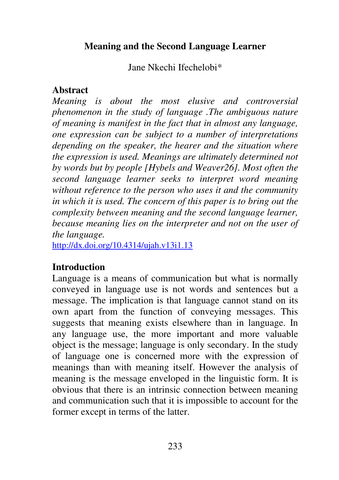## **Meaning and the Second Language Learner**

Jane Nkechi Ifechelobi\*

### **Abstract**

*Meaning is about the most elusive and controversial phenomenon in the study of language .The ambiguous nature of meaning is manifest in the fact that in almost any language, one expression can be subject to a number of interpretations depending on the speaker, the hearer and the situation where the expression is used. Meanings are ultimately determined not by words but by people [Hybels and Weaver26]. Most often the second language learner seeks to interpret word meaning without reference to the person who uses it and the community in which it is used. The concern of this paper is to bring out the complexity between meaning and the second language learner, because meaning lies on the interpreter and not on the user of the language.* 

http://dx.doi.org/10.4314/ujah.v13i1.13

## **Introduction**

Language is a means of communication but what is normally conveyed in language use is not words and sentences but a message. The implication is that language cannot stand on its own apart from the function of conveying messages. This suggests that meaning exists elsewhere than in language. In any language use, the more important and more valuable object is the message; language is only secondary. In the study of language one is concerned more with the expression of meanings than with meaning itself. However the analysis of meaning is the message enveloped in the linguistic form. It is obvious that there is an intrinsic connection between meaning and communication such that it is impossible to account for the former except in terms of the latter.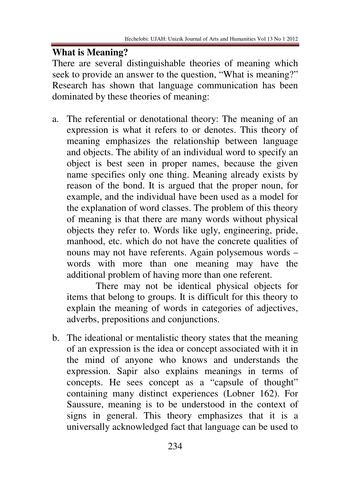### **What is Meaning?**

There are several distinguishable theories of meaning which seek to provide an answer to the question, "What is meaning?" Research has shown that language communication has been dominated by these theories of meaning:

a. The referential or denotational theory: The meaning of an expression is what it refers to or denotes. This theory of meaning emphasizes the relationship between language and objects. The ability of an individual word to specify an object is best seen in proper names, because the given name specifies only one thing. Meaning already exists by reason of the bond. It is argued that the proper noun, for example, and the individual have been used as a model for the explanation of word classes. The problem of this theory of meaning is that there are many words without physical objects they refer to. Words like ugly, engineering, pride, manhood, etc. which do not have the concrete qualities of nouns may not have referents. Again polysemous words – words with more than one meaning may have the additional problem of having more than one referent.

There may not be identical physical objects for items that belong to groups. It is difficult for this theory to explain the meaning of words in categories of adjectives, adverbs, prepositions and conjunctions.

b. The ideational or mentalistic theory states that the meaning of an expression is the idea or concept associated with it in the mind of anyone who knows and understands the expression. Sapir also explains meanings in terms of concepts. He sees concept as a "capsule of thought" containing many distinct experiences (Lobner 162). For Saussure, meaning is to be understood in the context of signs in general. This theory emphasizes that it is a universally acknowledged fact that language can be used to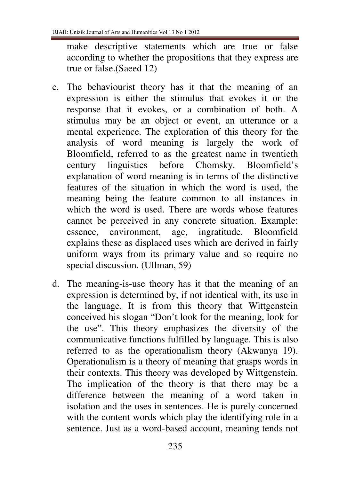make descriptive statements which are true or false according to whether the propositions that they express are true or false.(Saeed 12)

- c. The behaviourist theory has it that the meaning of an expression is either the stimulus that evokes it or the response that it evokes, or a combination of both. A stimulus may be an object or event, an utterance or a mental experience. The exploration of this theory for the analysis of word meaning is largely the work of Bloomfield, referred to as the greatest name in twentieth century linguistics before Chomsky. Bloomfield's explanation of word meaning is in terms of the distinctive features of the situation in which the word is used, the meaning being the feature common to all instances in which the word is used. There are words whose features cannot be perceived in any concrete situation. Example: essence, environment, age, ingratitude. Bloomfield explains these as displaced uses which are derived in fairly uniform ways from its primary value and so require no special discussion. (Ullman, 59)
- d. The meaning-is-use theory has it that the meaning of an expression is determined by, if not identical with, its use in the language. It is from this theory that Wittgenstein conceived his slogan "Don't look for the meaning, look for the use". This theory emphasizes the diversity of the communicative functions fulfilled by language. This is also referred to as the operationalism theory (Akwanya 19). Operationalism is a theory of meaning that grasps words in their contexts. This theory was developed by Wittgenstein. The implication of the theory is that there may be a difference between the meaning of a word taken in isolation and the uses in sentences. He is purely concerned with the content words which play the identifying role in a sentence. Just as a word-based account, meaning tends not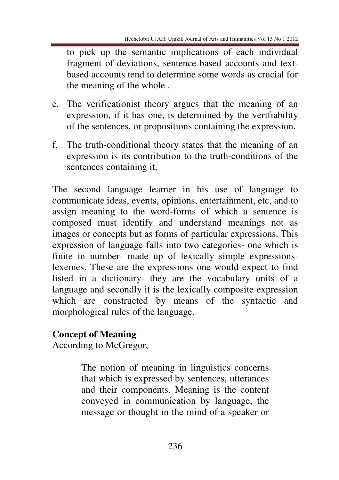to pick up the semantic implications of each individual fragment of deviations, sentence-based accounts and textbased accounts tend to determine some words as crucial for the meaning of the whole .

- e. The verificationist theory argues that the meaning of an expression, if it has one, is determined by the verifiability of the sentences, or propositions containing the expression.
- f. The truth-conditional theory states that the meaning of an expression is its contribution to the truth-conditions of the sentences containing it.

The second language learner in his use of language to communicate ideas, events, opinions, entertainment, etc, and to assign meaning to the word-forms of which a sentence is composed must identify and understand meanings not as images or concepts but as forms of particular expressions. This expression of language falls into two categories- one which is finite in number- made up of lexically simple expressionslexemes. These are the expressions one would expect to find listed in a dictionary- they are the vocabulary units of a language and secondly it is the lexically composite expression which are constructed by means of the syntactic and morphological rules of the language.

## **Concept of Meaning**

According to McGregor,

The notion of meaning in linguistics concerns that which is expressed by sentences, utterances and their components. Meaning is the content conveyed in communication by language, the message or thought in the mind of a speaker or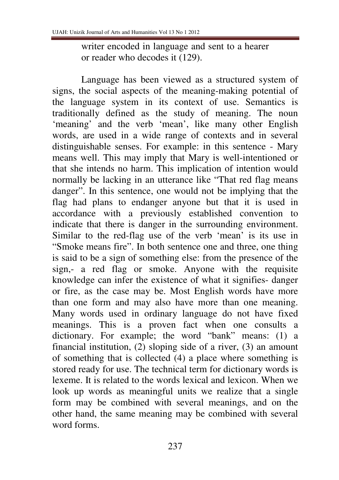writer encoded in language and sent to a hearer or reader who decodes it (129).

Language has been viewed as a structured system of signs, the social aspects of the meaning-making potential of the language system in its context of use. Semantics is traditionally defined as the study of meaning. The noun 'meaning' and the verb 'mean', like many other English words, are used in a wide range of contexts and in several distinguishable senses. For example: in this sentence - Mary means well. This may imply that Mary is well-intentioned or that she intends no harm. This implication of intention would normally be lacking in an utterance like "That red flag means danger". In this sentence, one would not be implying that the flag had plans to endanger anyone but that it is used in accordance with a previously established convention to indicate that there is danger in the surrounding environment. Similar to the red-flag use of the verb 'mean' is its use in "Smoke means fire". In both sentence one and three, one thing is said to be a sign of something else: from the presence of the sign,- a red flag or smoke. Anyone with the requisite knowledge can infer the existence of what it signifies- danger or fire, as the case may be. Most English words have more than one form and may also have more than one meaning. Many words used in ordinary language do not have fixed meanings. This is a proven fact when one consults a dictionary. For example; the word "bank" means: (1) a financial institution, (2) sloping side of a river, (3) an amount of something that is collected (4) a place where something is stored ready for use. The technical term for dictionary words is lexeme. It is related to the words lexical and lexicon. When we look up words as meaningful units we realize that a single form may be combined with several meanings, and on the other hand, the same meaning may be combined with several word forms.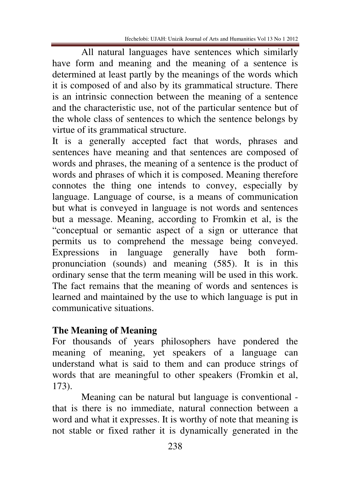All natural languages have sentences which similarly have form and meaning and the meaning of a sentence is determined at least partly by the meanings of the words which it is composed of and also by its grammatical structure. There is an intrinsic connection between the meaning of a sentence and the characteristic use, not of the particular sentence but of the whole class of sentences to which the sentence belongs by virtue of its grammatical structure.

It is a generally accepted fact that words, phrases and sentences have meaning and that sentences are composed of words and phrases, the meaning of a sentence is the product of words and phrases of which it is composed. Meaning therefore connotes the thing one intends to convey, especially by language. Language of course, is a means of communication but what is conveyed in language is not words and sentences but a message. Meaning, according to Fromkin et al, is the "conceptual or semantic aspect of a sign or utterance that permits us to comprehend the message being conveyed. Expressions in language generally have both formpronunciation (sounds) and meaning (585). It is in this ordinary sense that the term meaning will be used in this work. The fact remains that the meaning of words and sentences is learned and maintained by the use to which language is put in communicative situations.

## **The Meaning of Meaning**

For thousands of years philosophers have pondered the meaning of meaning, yet speakers of a language can understand what is said to them and can produce strings of words that are meaningful to other speakers (Fromkin et al, 173).

Meaning can be natural but language is conventional that is there is no immediate, natural connection between a word and what it expresses. It is worthy of note that meaning is not stable or fixed rather it is dynamically generated in the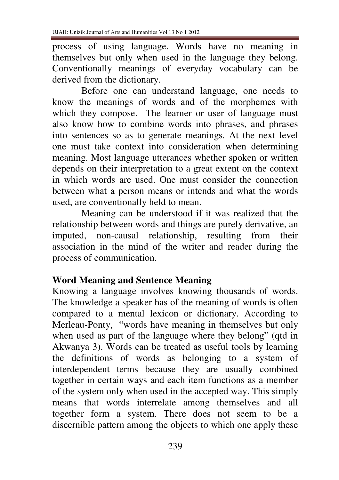process of using language. Words have no meaning in themselves but only when used in the language they belong. Conventionally meanings of everyday vocabulary can be derived from the dictionary.

Before one can understand language, one needs to know the meanings of words and of the morphemes with which they compose. The learner or user of language must also know how to combine words into phrases, and phrases into sentences so as to generate meanings. At the next level one must take context into consideration when determining meaning. Most language utterances whether spoken or written depends on their interpretation to a great extent on the context in which words are used. One must consider the connection between what a person means or intends and what the words used, are conventionally held to mean.

Meaning can be understood if it was realized that the relationship between words and things are purely derivative, an imputed, non-causal relationship, resulting from their association in the mind of the writer and reader during the process of communication.

## **Word Meaning and Sentence Meaning**

Knowing a language involves knowing thousands of words. The knowledge a speaker has of the meaning of words is often compared to a mental lexicon or dictionary. According to Merleau-Ponty, "words have meaning in themselves but only when used as part of the language where they belong" (qtd in Akwanya 3). Words can be treated as useful tools by learning the definitions of words as belonging to a system of interdependent terms because they are usually combined together in certain ways and each item functions as a member of the system only when used in the accepted way. This simply means that words interrelate among themselves and all together form a system. There does not seem to be a discernible pattern among the objects to which one apply these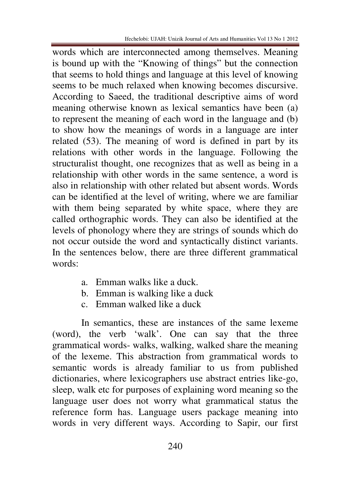words which are interconnected among themselves. Meaning is bound up with the "Knowing of things" but the connection that seems to hold things and language at this level of knowing seems to be much relaxed when knowing becomes discursive. According to Saeed, the traditional descriptive aims of word meaning otherwise known as lexical semantics have been (a) to represent the meaning of each word in the language and (b) to show how the meanings of words in a language are inter related (53). The meaning of word is defined in part by its relations with other words in the language. Following the structuralist thought, one recognizes that as well as being in a relationship with other words in the same sentence, a word is also in relationship with other related but absent words. Words can be identified at the level of writing, where we are familiar with them being separated by white space, where they are called orthographic words. They can also be identified at the levels of phonology where they are strings of sounds which do not occur outside the word and syntactically distinct variants. In the sentences below, there are three different grammatical words:

- a. Emman walks like a duck.
- b. Emman is walking like a duck
- c. Emman walked like a duck

In semantics, these are instances of the same lexeme (word), the verb 'walk'. One can say that the three grammatical words- walks, walking, walked share the meaning of the lexeme. This abstraction from grammatical words to semantic words is already familiar to us from published dictionaries, where lexicographers use abstract entries like-go, sleep, walk etc for purposes of explaining word meaning so the language user does not worry what grammatical status the reference form has. Language users package meaning into words in very different ways. According to Sapir, our first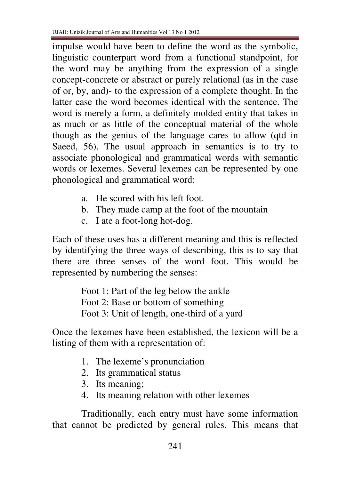impulse would have been to define the word as the symbolic, linguistic counterpart word from a functional standpoint, for the word may be anything from the expression of a single concept-concrete or abstract or purely relational (as in the case of or, by, and)- to the expression of a complete thought. In the latter case the word becomes identical with the sentence. The word is merely a form, a definitely molded entity that takes in as much or as little of the conceptual material of the whole though as the genius of the language cares to allow (qtd in Saeed, 56). The usual approach in semantics is to try to associate phonological and grammatical words with semantic words or lexemes. Several lexemes can be represented by one phonological and grammatical word:

- a. He scored with his left foot.
- b. They made camp at the foot of the mountain
- c. I ate a foot-long hot-dog.

Each of these uses has a different meaning and this is reflected by identifying the three ways of describing, this is to say that there are three senses of the word foot. This would be represented by numbering the senses:

> Foot 1: Part of the leg below the ankle Foot 2: Base or bottom of something Foot 3: Unit of length, one-third of a yard

Once the lexemes have been established, the lexicon will be a listing of them with a representation of:

- 1. The lexeme's pronunciation
- 2. Its grammatical status
- 3. Its meaning;
- 4. Its meaning relation with other lexemes

Traditionally, each entry must have some information that cannot be predicted by general rules. This means that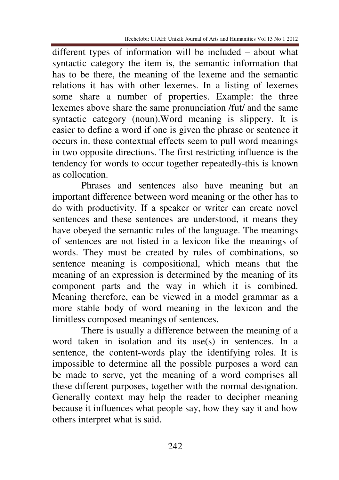different types of information will be included – about what syntactic category the item is, the semantic information that has to be there, the meaning of the lexeme and the semantic relations it has with other lexemes. In a listing of lexemes some share a number of properties. Example: the three lexemes above share the same pronunciation /fut/ and the same syntactic category (noun).Word meaning is slippery. It is easier to define a word if one is given the phrase or sentence it occurs in. these contextual effects seem to pull word meanings in two opposite directions. The first restricting influence is the tendency for words to occur together repeatedly-this is known as collocation.

Phrases and sentences also have meaning but an important difference between word meaning or the other has to do with productivity. If a speaker or writer can create novel sentences and these sentences are understood, it means they have obeyed the semantic rules of the language. The meanings of sentences are not listed in a lexicon like the meanings of words. They must be created by rules of combinations, so sentence meaning is compositional, which means that the meaning of an expression is determined by the meaning of its component parts and the way in which it is combined. Meaning therefore, can be viewed in a model grammar as a more stable body of word meaning in the lexicon and the limitless composed meanings of sentences.

There is usually a difference between the meaning of a word taken in isolation and its use(s) in sentences. In a sentence, the content-words play the identifying roles. It is impossible to determine all the possible purposes a word can be made to serve, yet the meaning of a word comprises all these different purposes, together with the normal designation. Generally context may help the reader to decipher meaning because it influences what people say, how they say it and how others interpret what is said.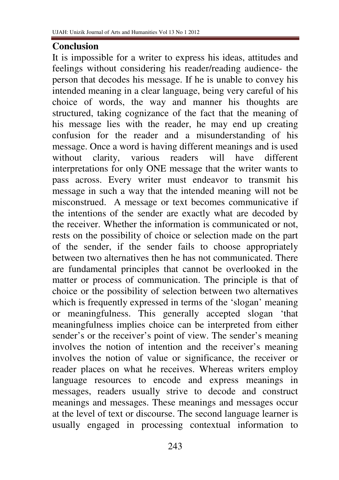## **Conclusion**

It is impossible for a writer to express his ideas, attitudes and feelings without considering his reader/reading audience- the person that decodes his message. If he is unable to convey his intended meaning in a clear language, being very careful of his choice of words, the way and manner his thoughts are structured, taking cognizance of the fact that the meaning of his message lies with the reader, he may end up creating confusion for the reader and a misunderstanding of his message. Once a word is having different meanings and is used without clarity, various readers will have different interpretations for only ONE message that the writer wants to pass across. Every writer must endeavor to transmit his message in such a way that the intended meaning will not be misconstrued. A message or text becomes communicative if the intentions of the sender are exactly what are decoded by the receiver. Whether the information is communicated or not, rests on the possibility of choice or selection made on the part of the sender, if the sender fails to choose appropriately between two alternatives then he has not communicated. There are fundamental principles that cannot be overlooked in the matter or process of communication. The principle is that of choice or the possibility of selection between two alternatives which is frequently expressed in terms of the 'slogan' meaning or meaningfulness. This generally accepted slogan 'that meaningfulness implies choice can be interpreted from either sender's or the receiver's point of view. The sender's meaning involves the notion of intention and the receiver's meaning involves the notion of value or significance, the receiver or reader places on what he receives. Whereas writers employ language resources to encode and express meanings in messages, readers usually strive to decode and construct meanings and messages. These meanings and messages occur at the level of text or discourse. The second language learner is usually engaged in processing contextual information to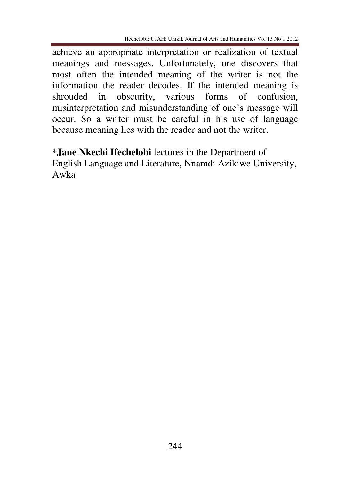achieve an appropriate interpretation or realization of textual meanings and messages. Unfortunately, one discovers that most often the intended meaning of the writer is not the information the reader decodes. If the intended meaning is shrouded in obscurity, various forms of confusion, misinterpretation and misunderstanding of one's message will occur. So a writer must be careful in his use of language because meaning lies with the reader and not the writer.

# \***Jane Nkechi Ifechelobi** lectures in the Department of

English Language and Literature, Nnamdi Azikiwe University, Awka